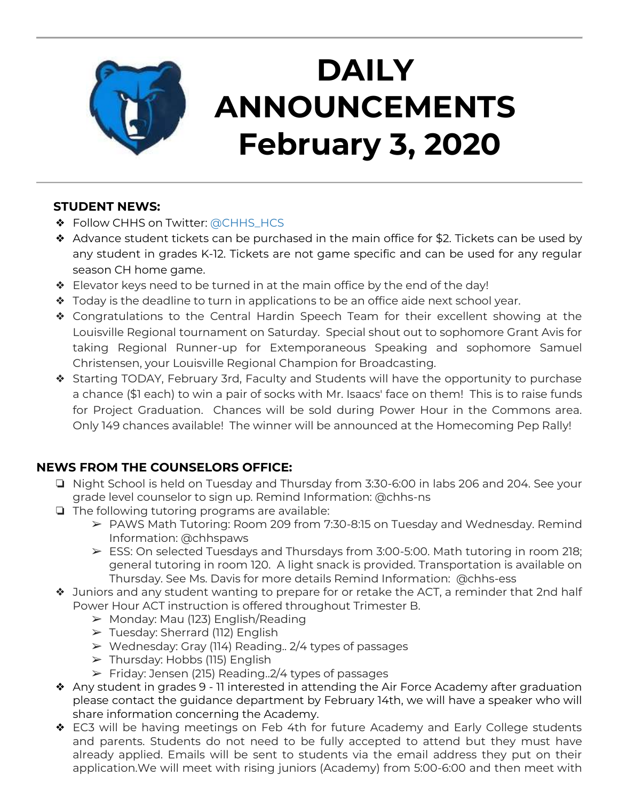

# **DAILY ANNOUNCEMENTS February 3, 2020**

### **STUDENT NEWS:**

- ❖ Follow CHHS on Twitter: [@CHHS\\_HCS](https://twitter.com/CHHS_HCS)
- ❖ Advance student tickets can be purchased in the main office for \$2. Tickets can be used by any student in grades K-12. Tickets are not game specific and can be used for any regular season CH home game.
- ❖ Elevator keys need to be turned in at the main office by the end of the day!
- ❖ Today is the deadline to turn in applications to be an office aide next school year.
- ❖ Congratulations to the Central Hardin Speech Team for their excellent showing at the Louisville Regional tournament on Saturday. Special shout out to sophomore Grant Avis for taking Regional Runner-up for Extemporaneous Speaking and sophomore Samuel Christensen, your Louisville Regional Champion for Broadcasting.
- ❖ Starting TODAY, February 3rd, Faculty and Students will have the opportunity to purchase a chance (\$1 each) to win a pair of socks with Mr. Isaacs' face on them! This is to raise funds for Project Graduation. Chances will be sold during Power Hour in the Commons area. Only 149 chances available! The winner will be announced at the Homecoming Pep Rally!

### **NEWS FROM THE COUNSELORS OFFICE:**

- ❏ Night School is held on Tuesday and Thursday from 3:30-6:00 in labs 206 and 204. See your grade level counselor to sign up. Remind Information: @chhs-ns
- ❏ The following tutoring programs are available:
	- ➢ PAWS Math Tutoring: Room 209 from 7:30-8:15 on Tuesday and Wednesday. Remind Information: @chhspaws
	- $\triangleright$  ESS: On selected Tuesdays and Thursdays from 3:00-5:00. Math tutoring in room 218; general tutoring in room 120. A light snack is provided. Transportation is available on Thursday. See Ms. Davis for more details Remind Information: @chhs-ess
- ❖ Juniors and any student wanting to prepare for or retake the ACT, a reminder that 2nd half Power Hour ACT instruction is offered throughout Trimester B.
	- ➢ Monday: Mau (123) English/Reading
	- ➢ Tuesday: Sherrard (112) English
	- $\triangleright$  Wednesday: Gray (114) Reading.. 2/4 types of passages
	- $\triangleright$  Thursday: Hobbs (115) English
	- $\triangleright$  Friday: Jensen (215) Reading. 2/4 types of passages
- ❖ Any student in grades 9 11 interested in attending the Air Force Academy after graduation please contact the guidance department by February 14th, we will have a speaker who will share information concerning the Academy.
- ❖ EC3 will be having meetings on Feb 4th for future Academy and Early College students and parents. Students do not need to be fully accepted to attend but they must have already applied. Emails will be sent to students via the email address they put on their application.We will meet with rising juniors (Academy) from 5:00-6:00 and then meet with